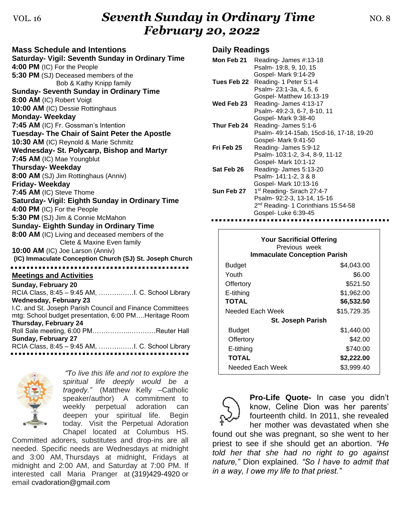## VOL. 16 **Seventh Sunday in Ordinary Time NO. 8** *February 20, 2022*

| <b>Mass Schedule and Intentions</b>                       |  |  |
|-----------------------------------------------------------|--|--|
| <b>Saturday- Vigil: Seventh Sunday in Ordinary Time</b>   |  |  |
| 4:00 PM (IC) For the People                               |  |  |
| 5:30 PM (SJ) Deceased members of the                      |  |  |
| Bob & Kathy Knipp family                                  |  |  |
| <b>Sunday- Seventh Sunday in Ordinary Time</b>            |  |  |
| 8:00 AM (IC) Robert Voigt                                 |  |  |
| 10:00 AM (IC) Dessie Rottinghaus                          |  |  |
| <b>Monday-Weekday</b>                                     |  |  |
| 7:45 AM (IC) Fr. Gossman's Intention                      |  |  |
| Tuesday- The Chair of Saint Peter the Apostle             |  |  |
| 10:30 AM (IC) Reynold & Marie Schmitz                     |  |  |
| Wednesday- St. Polycarp, Bishop and Martyr                |  |  |
| 7:45 AM (IC) Mae Youngblut                                |  |  |
| <b>Thursday-Weekday</b>                                   |  |  |
| 8:00 AM (SJ) Jim Rottinghaus (Anniv)                      |  |  |
| <b>Friday-Weekday</b>                                     |  |  |
| 7:45 AM (IC) Steve Thome                                  |  |  |
| Saturday- Vigil: Eighth Sunday in Ordinary Time           |  |  |
| 4:00 PM (IC) For the People                               |  |  |
| 5:30 PM (SJ) Jim & Connie McMahon                         |  |  |
| <b>Sunday- Eighth Sunday in Ordinary Time</b>             |  |  |
| 8:00 AM (IC) Living and deceased members of the           |  |  |
| Clete & Maxine Even family                                |  |  |
| 10:00 AM (IC) Joe Larson (Anniv)                          |  |  |
| (IC) Immaculate Conception Church (SJ) St. Joseph Church  |  |  |
|                                                           |  |  |
| <b>Meetings and Activities</b>                            |  |  |
| Sunday, February 20                                       |  |  |
|                                                           |  |  |
| <b>Wednesday, February 23</b>                             |  |  |
| I.C. and St. Joseph Parish Council and Finance Committees |  |  |
| mtg: School budget presentation, 6:00 PMHeritage Room     |  |  |
| Thursday, February 24                                     |  |  |
| Roll Sale meeting, 6:00 PMReuter Hall                     |  |  |
| Sunday, February 27                                       |  |  |
|                                                           |  |  |



*"To live this life and not to explore the spiritual life deeply would be a tragedy."* (Matthew Kelly –Catholic speaker/author) A commitment to weekly perpetual adoration can deepen your spiritual life. Begin today. Visit the Perpetual Adoration Chapel located at Columbus HS.

Committed adorers, substitutes and drop-ins are all needed. Specific needs are Wednesdays at midnight and 3:00 AM, Thursdays at midnight, Fridays at midnight and 2:00 AM, and Saturday at 7:00 PM. If interested call Maria Pranger at [\(319\)429-4920](tel:(319)429-4920) or email [cvadoration@gmail.com](mailto:cvadoration@gmail.com)

## **Daily Readings**

| Mon Feb 21  | Reading-James #:13-18<br>Psalm- 19:8, 9, 10, 15                                                                                                                          |
|-------------|--------------------------------------------------------------------------------------------------------------------------------------------------------------------------|
| Tues Feb 22 | Gospel- Mark 9:14-29<br>Reading-1 Peter 5:1-4<br>Psalm-23:1-3a, 4, 5, 6<br>Gospel- Matthew 16:13-19                                                                      |
| Wed Feb 23  | Reading-James 4:13-17<br>Psalm- 49:2-3, 6-7, 8-10, 11                                                                                                                    |
| Thur Feb 24 | Gospel- Mark 9:38-40<br>Reading-James 5:1-6<br>Psalm- 49:14-15ab, 15cd-16, 17-18, 19-20                                                                                  |
| Fri Feb 25  | Gospel- Mark 9:41-50<br>Reading- James 5:9-12<br>Psalm- 103:1-2, 3-4, 8-9, 11-12                                                                                         |
| Sat Feb 26  | Gospel- Mark 10:1-12<br>Reading-James 5:13-20<br>Psalm-141:1-2, 3 & 8                                                                                                    |
| Sun Feb 27  | Gospel- Mark 10:13-16<br>1 <sup>st</sup> Reading- Sirach 27:4-7<br>Psalm- 92:2-3, 13-14, 15-16<br>2 <sup>nd</sup> Reading- 1 Corinthians 15:54-58<br>Gospel-Luke 6:39-45 |

| <b>Your Sacrificial Offering</b><br>Previous week<br><b>Immaculate Conception Parish</b> |             |  |  |
|------------------------------------------------------------------------------------------|-------------|--|--|
| <b>Budget</b>                                                                            | \$4,043.00  |  |  |
| Youth                                                                                    | \$6.00      |  |  |
| Offertory                                                                                | \$521.50    |  |  |
| E-tithing                                                                                | \$1,962.00  |  |  |
| <b>TOTAL</b>                                                                             | \$6,532.50  |  |  |
| Needed Each Week                                                                         | \$15,729.35 |  |  |
| <b>St. Joseph Parish</b>                                                                 |             |  |  |
| Budget                                                                                   | \$1,440.00  |  |  |
| Offertory                                                                                | \$42.00     |  |  |
| E-tithing                                                                                | \$740.00    |  |  |
| <b>TOTAL</b>                                                                             | \$2,222.00  |  |  |
| Needed Each Week                                                                         | \$3,999.40  |  |  |



**Pro-Life Quote-** In case you didn't know, Celine Dion was her parents' fourteenth child. In 2011, she revealed her mother was devastated when she

found out she was pregnant, so she went to her priest to see if she should get an abortion. *"He told her that she had no right to go against nature,"* Dion explained*. "So I have to admit that in a way, I owe my life to that priest."*